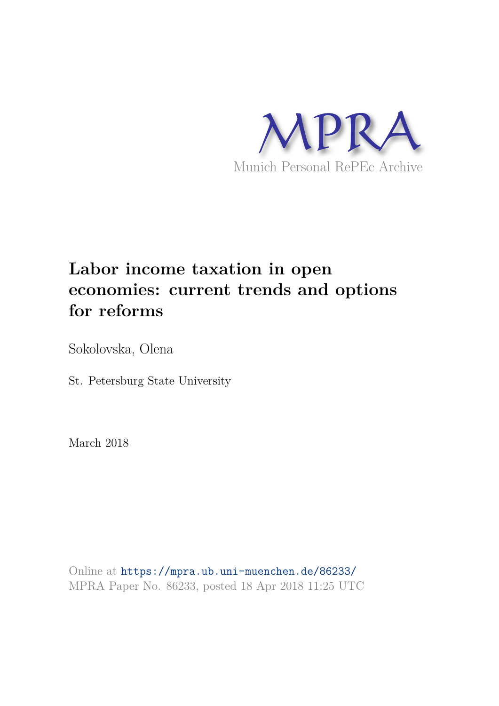

# **Labor income taxation in open economies: current trends and options for reforms**

Sokolovska, Olena

St. Petersburg State University

March 2018

Online at https://mpra.ub.uni-muenchen.de/86233/ MPRA Paper No. 86233, posted 18 Apr 2018 11:25 UTC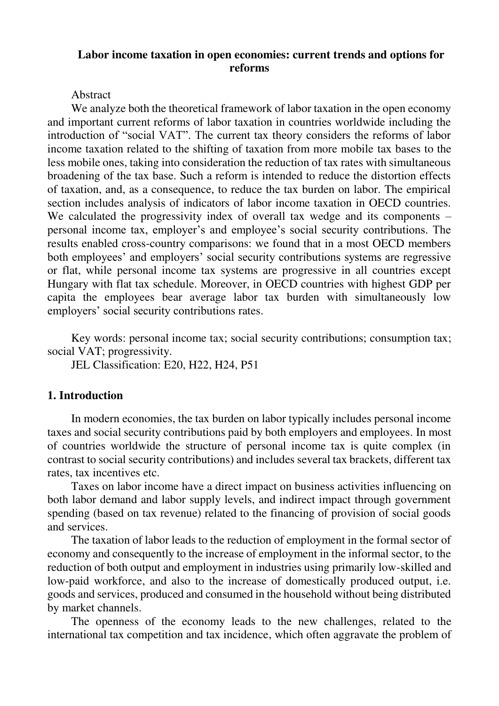# **Labor income taxation in open economies: current trends and options for reforms**

#### Abstract

We analyze both the theoretical framework of labor taxation in the open economy and important current reforms of labor taxation in countries worldwide including the introduction of "social VAT". The current tax theory considers the reforms of labor income taxation related to the shifting of taxation from more mobile tax bases to the less mobile ones, taking into consideration the reduction of tax rates with simultaneous broadening of the tax base. Such a reform is intended to reduce the distortion effects of taxation, and, as a consequence, to reduce the tax burden on labor. The empirical section includes analysis of indicators of labor income taxation in OECD countries. We calculated the progressivity index of overall tax wedge and its components – personal income tax, employer's and employee's social security contributions. The results enabled cross-country comparisons: we found that in a most OECD members both employees' and employers' social security contributions systems are regressive or flat, while personal income tax systems are progressive in all countries except Hungary with flat tax schedule. Moreover, in OECD countries with highest GDP per capita the employees bear average labor tax burden with simultaneously low employers' social security contributions rates.

Key words: personal income tax; social security contributions; consumption tax; social VAT; progressivity.

JEL Classification: E20, H22, H24, P51

# **1. Introduction**

In modern economies, the tax burden on labor typically includes personal income taxes and social security contributions paid by both employers and employees. In most of countries worldwide the structure of personal income tax is quite complex (in contrast to social security contributions) and includes several tax brackets, different tax rates, tax incentives etc.

Taxes on labor income have a direct impact on business activities influencing on both labor demand and labor supply levels, and indirect impact through government spending (based on tax revenue) related to the financing of provision of social goods and services.

The taxation of labor leads to the reduction of employment in the formal sector of economy and consequently to the increase of employment in the informal sector, to the reduction of both output and employment in industries using primarily low-skilled and low-paid workforce, and also to the increase of domestically produced output, i.e. goods and services, produced and consumed in the household without being distributed by market channels.

The openness of the economy leads to the new challenges, related to the international tax competition and tax incidence, which often aggravate the problem of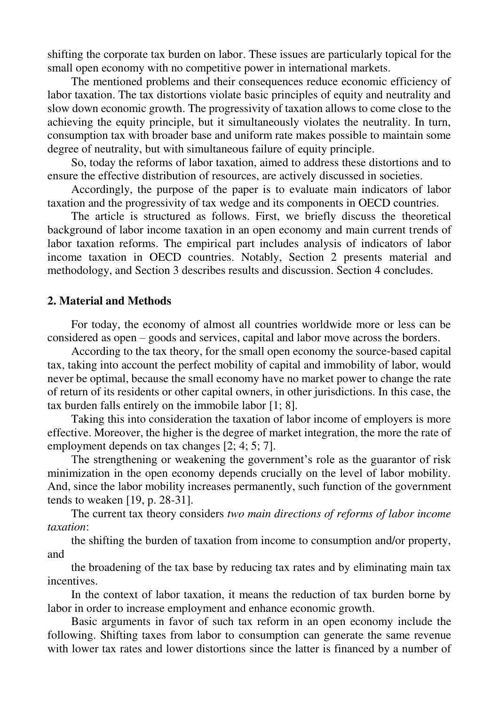shifting the corporate tax burden on labor. These issues are particularly topical for the small open economy with no competitive power in international markets.

The mentioned problems and their consequences reduce economic efficiency of labor taxation. The tax distortions violate basic principles of equity and neutrality and slow down economic growth. The progressivity of taxation allows to come close to the achieving the equity principle, but it simultaneously violates the neutrality. In turn, consumption tax with broader base and uniform rate makes possible to maintain some degree of neutrality, but with simultaneous failure of equity principle.

So, today the reforms of labor taxation, aimed to address these distortions and to ensure the effective distribution of resources, are actively discussed in societies.

Accordingly, the purpose of the paper is to evaluate main indicators of labor taxation and the progressivity of tax wedge and its components in OECD countries.

The article is structured as follows. First, we briefly discuss the theoretical background of labor income taxation in an open economy and main current trends of labor taxation reforms. The empirical part includes analysis of indicators of labor income taxation in OECD countries. Notably, Section 2 presents material and methodology, and Section 3 describes results and discussion. Section 4 concludes.

#### **2. Material and Methods**

For today, the economy of almost all countries worldwide more or less can be considered as open – goods and services, capital and labor move across the borders.

According to the tax theory, for the small open economy the source‐based capital tax, taking into account the perfect mobility of capital and immobility of labor, would never be optimal, because the small economy have no market power to change the rate of return of its residents or other capital owners, in other jurisdictions. In this case, the tax burden falls entirely on the immobile labor [1; 8].

Taking this into consideration the taxation of labor income of employers is more effective. Moreover, the higher is the degree of market integration, the more the rate of employment depends on tax changes [2; 4; 5; 7].

The strengthening or weakening the government's role as the guarantor of risk minimization in the open economy depends crucially on the level of labor mobility. And, since the labor mobility increases permanently, such function of the government tends to weaken [19, p. 28-31].

The current tax theory considers *two main directions of reforms of labor income taxation*:

the shifting the burden of taxation from income to consumption and/or property, and

the broadening of the tax base by reducing tax rates and by eliminating main tax incentives.

In the context of labor taxation, it means the reduction of tax burden borne by labor in order to increase employment and enhance economic growth.

Basic arguments in favor of such tax reform in an open economy include the following. Shifting taxes from labor to consumption can generate the same revenue with lower tax rates and lower distortions since the latter is financed by a number of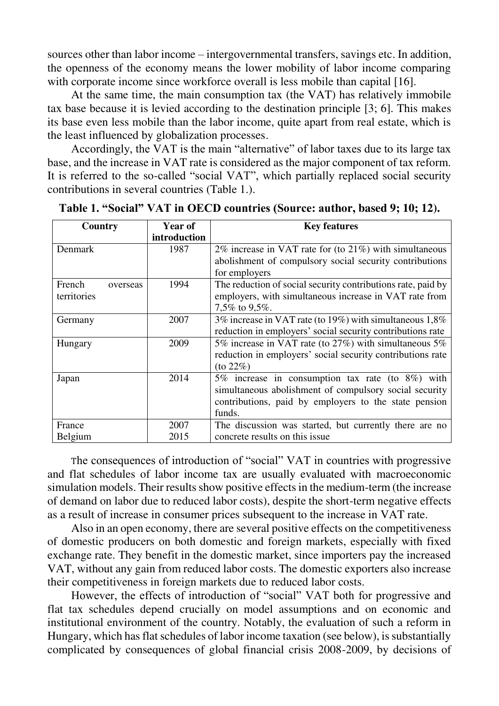sources other than labor income – intergovernmental transfers, savings etc. In addition, the openness of the economy means the lower mobility of labor income comparing with corporate income since workforce overall is less mobile than capital [16].

At the same time, the main consumption tax (the VAT) has relatively immobile tax base because it is levied according to the destination principle [3; 6]. This makes its base even less mobile than the labor income, quite apart from real estate, which is the least influenced by globalization processes.

Accordingly, the VAT is the main "alternative" of labor taxes due to its large tax base, and the increase in VAT rate is considered as the major component of tax reform. It is referred to the so-called "social VAT", which partially replaced social security contributions in several countries (Table 1.).

| Country            | <b>Year of</b> | <b>Key features</b>                                          |  |  |
|--------------------|----------------|--------------------------------------------------------------|--|--|
|                    | introduction   |                                                              |  |  |
| Denmark            | 1987           | 2% increase in VAT rate for (to $21\%$ ) with simultaneous   |  |  |
|                    |                | abolishment of compulsory social security contributions      |  |  |
|                    |                | for employers                                                |  |  |
| French<br>overseas | 1994           | The reduction of social security contributions rate, paid by |  |  |
| territories        |                | employers, with simultaneous increase in VAT rate from       |  |  |
|                    |                | 7,5\% to 9,5\%.                                              |  |  |
| Germany            | 2007           | 3% increase in VAT rate (to 19%) with simultaneous 1,8%      |  |  |
|                    |                | reduction in employers' social security contributions rate   |  |  |
| Hungary            | 2009           | 5% increase in VAT rate (to 27%) with simultaneous 5%        |  |  |
|                    |                | reduction in employers' social security contributions rate   |  |  |
|                    |                | $($ to 22% $)$                                               |  |  |
| Japan              | 2014           | 5% increase in consumption tax rate (to 8%) with             |  |  |
|                    |                | simultaneous abolishment of compulsory social security       |  |  |
|                    |                | contributions, paid by employers to the state pension        |  |  |
|                    |                | funds.                                                       |  |  |
| France             | 2007           | The discussion was started, but currently there are no       |  |  |
| Belgium            | 2015           | concrete results on this issue                               |  |  |

**Table 1. "Social" VAT in OECD countries (Source: author, based 9; 10; 12).**

The consequences of introduction of "social" VAT in countries with progressive and flat schedules of labor income tax are usually evaluated with macroeconomic simulation models. Their results show positive effects in the medium-term (the increase of demand on labor due to reduced labor costs), despite the short-term negative effects as a result of increase in consumer prices subsequent to the increase in VAT rate.

Also in an open economy, there are several positive effects on the competitiveness of domestic producers on both domestic and foreign markets, especially with fixed exchange rate. They benefit in the domestic market, since importers pay the increased VAT, without any gain from reduced labor costs. The domestic exporters also increase their competitiveness in foreign markets due to reduced labor costs.

However, the effects of introduction of "social" VAT both for progressive and flat tax schedules depend crucially on model assumptions and on economic and institutional environment of the country. Notably, the evaluation of such a reform in Hungary, which has flat schedules of labor income taxation (see below), is substantially complicated by consequences of global financial crisis 2008-2009, by decisions of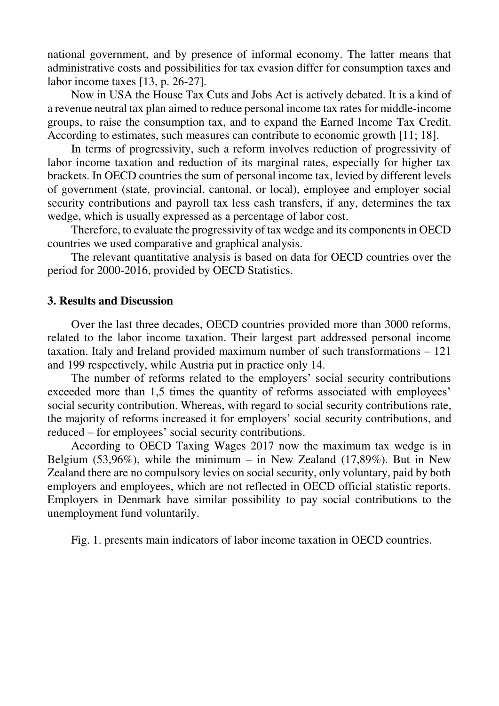national government, and by presence of informal economy. The latter means that administrative costs and possibilities for tax evasion differ for consumption taxes and labor income taxes [13, p. 26-27].

Now in USA the House Tax Cuts and Jobs Act is actively debated. It is a kind of a revenue neutral tax plan aimed to reduce personal income tax rates for middle-income groups, to raise the consumption tax, and to expand the Earned Income Tax Credit. According to estimates, such measures can contribute to economic growth [11; 18].

In terms of progressivity, such a reform involves reduction of progressivity of labor income taxation and reduction of its marginal rates, especially for higher tax brackets. In OECD countries the sum of personal income tax, levied by different levels of government (state, provincial, cantonal, or local), employee and employer social security contributions and payroll tax less cash transfers, if any, determines the tax wedge, which is usually expressed as a percentage of labor cost.

Therefore, to evaluate the progressivity of tax wedge and its components in OECD countries we used comparative and graphical analysis.

The relevant quantitative analysis is based on data for OECD countries over the period for 2000-2016, provided by OECD Statistics.

#### **3. Results and Discussion**

Over the last three decades, OECD countries provided more than 3000 reforms, related to the labor income taxation. Their largest part addressed personal income taxation. Italy and Ireland provided maximum number of such transformations – 121 and 199 respectively, while Austria put in practice only 14.

The number of reforms related to the employers' social security contributions exceeded more than 1,5 times the quantity of reforms associated with employees' social security contribution. Whereas, with regard to social security contributions rate, the majority of reforms increased it for employers' social security contributions, and reduced – for employees' social security contributions.

According to OECD Taxing Wages 2017 now the maximum tax wedge is in Belgium  $(53,96\%)$ , while the minimum – in New Zealand  $(17,89\%)$ . But in New Zealand there are no compulsory levies on social security, only voluntary, paid by both employers and employees, which are not reflected in OECD official statistic reports. Employers in Denmark have similar possibility to pay social contributions to the unemployment fund voluntarily.

Fig. 1. presents main indicators of labor income taxation in OECD countries.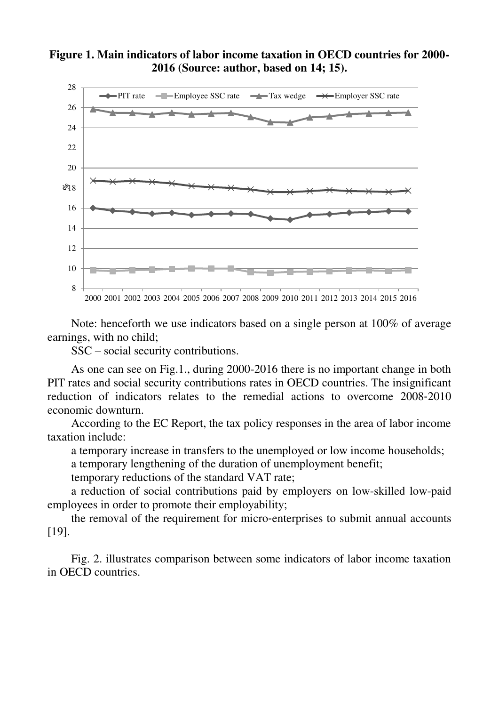## **Figure 1. Main indicators of labor income taxation in OECD countries for 2000- 2016 (Source: author, based on 14; 15).**



Note: henceforth we use indicators based on a single person at 100% of average earnings, with no child;

SSC – social security contributions.

As one can see on Fig.1., during 2000-2016 there is no important change in both PIT rates and social security contributions rates in OECD countries. The insignificant reduction of indicators relates to the remedial actions to overcome 2008‐2010 economic downturn.

According to the EC Report, the tax policy responses in the area of labor income taxation include:

a temporary increase in transfers to the unemployed or low income households;

a temporary lengthening of the duration of unemployment benefit;

temporary reductions of the standard VAT rate;

a reduction of social contributions paid by employers on low-skilled low-paid employees in order to promote their employability;

the removal of the requirement for micro‐enterprises to submit annual accounts [19].

Fig. 2. illustrates comparison between some indicators of labor income taxation in OECD countries.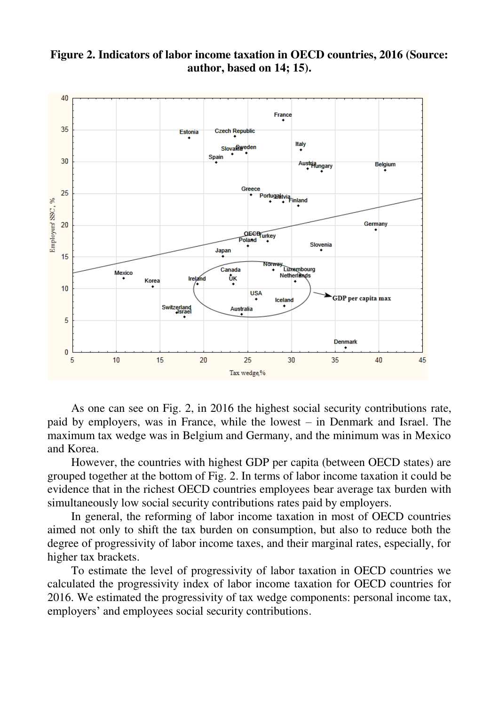

# **Figure 2. Indicators of labor income taxation in OECD countries, 2016 (Source: author, based on 14; 15).**

As one can see on Fig. 2, in 2016 the highest social security contributions rate, paid by employers, was in France, while the lowest – in Denmark and Israel. The maximum tax wedge was in Belgium and Germany, and the minimum was in Mexico and Korea.

However, the countries with highest GDP per capita (between OECD states) are grouped together at the bottom of Fig. 2. In terms of labor income taxation it could be evidence that in the richest OECD countries employees bear average tax burden with simultaneously low social security contributions rates paid by employers.

In general, the reforming of labor income taxation in most of OECD countries aimed not only to shift the tax burden on consumption, but also to reduce both the degree of progressivity of labor income taxes, and their marginal rates, especially, for higher tax brackets.

To estimate the level of progressivity of labor taxation in OECD countries we calculated the progressivity index of labor income taxation for OECD countries for 2016. We estimated the progressivity of tax wedge components: personal income tax, employers' and employees social security contributions.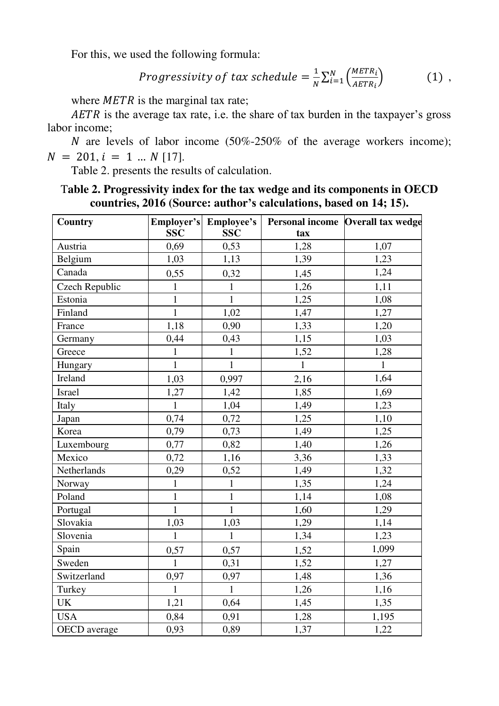For this, we used the following formula:

*Progressivity of tax schedule* = 
$$
\frac{1}{N} \sum_{i=1}^{N} \left( \frac{METR_i}{AETR_i} \right)
$$
 (1),

where  $METR$  is the marginal tax rate;

 $AETR$  is the average tax rate, i.e. the share of tax burden in the taxpayer's gross labor income;

N are levels of labor income  $(50\% - 250\%$  of the average workers income);  $N = 201$ ,  $i = 1$  ...  $N$  [17].

Table 2. presents the results of calculation.

# T**able 2. Progressivity index for the tax wedge and its components in OECD countries, 2016 (Source: author's calculations, based on 14; 15).**

| Country               | <b>SSC</b>   | Employer's Employee's<br><b>SSC</b> | tax          | Personal income Overall tax wedge |
|-----------------------|--------------|-------------------------------------|--------------|-----------------------------------|
| Austria               | 0,69         | 0,53                                | 1,28         | 1,07                              |
| Belgium               | 1,03         | 1,13                                | 1,39         | 1,23                              |
| Canada                | 0,55         | 0,32                                | 1,45         | 1,24                              |
| <b>Czech Republic</b> | $\mathbf{1}$ | $\mathbf{1}$                        | 1,26         | 1,11                              |
| Estonia               | $\mathbf{1}$ | $\mathbf{1}$                        | 1,25         | 1,08                              |
| Finland               | $\mathbf{1}$ | 1,02                                | 1,47         | 1,27                              |
| France                | 1,18         | 0,90                                | 1,33         | 1,20                              |
| Germany               | 0,44         | 0,43                                | 1,15         | 1,03                              |
| Greece                | $\mathbf{1}$ | $\mathbf{1}$                        | 1,52         | 1,28                              |
| Hungary               | $\mathbf{1}$ | $\mathbf{1}$                        | $\mathbf{1}$ | $\mathbf{1}$                      |
| Ireland               | 1,03         | 0,997                               | 2,16         | 1,64                              |
| Israel                | 1,27         | 1,42                                | 1,85         | 1,69                              |
| Italy                 | $\mathbf{1}$ | 1,04                                | 1,49         | 1,23                              |
| Japan                 | 0,74         | 0,72                                | 1,25         | 1,10                              |
| Korea                 | 0,79         | 0,73                                | 1,49         | 1,25                              |
| Luxembourg            | 0,77         | 0,82                                | 1,40         | 1,26                              |
| Mexico                | 0,72         | 1,16                                | 3,36         | 1,33                              |
| Netherlands           | 0,29         | 0,52                                | 1,49         | 1,32                              |
| Norway                | $\mathbf{1}$ | $\mathbf{1}$                        | 1,35         | 1,24                              |
| Poland                | $\mathbf{1}$ | $\mathbf{1}$                        | 1,14         | 1,08                              |
| Portugal              | $\mathbf{1}$ | $\mathbf{1}$                        | 1,60         | 1,29                              |
| Slovakia              | 1,03         | 1,03                                | 1,29         | 1,14                              |
| Slovenia              | $\mathbf{1}$ | $\mathbf{1}$                        | 1,34         | 1,23                              |
| Spain                 | 0,57         | 0,57                                | 1,52         | 1,099                             |
| Sweden                | $\mathbf{1}$ | 0,31                                | 1,52         | 1,27                              |
| Switzerland           | 0,97         | 0,97                                | 1,48         | 1,36                              |
| Turkey                | $\mathbf{1}$ | $\mathbf{1}$                        | 1,26         | 1,16                              |
| <b>UK</b>             | 1,21         | 0,64                                | 1,45         | 1,35                              |
| <b>USA</b>            | 0,84         | 0,91                                | 1,28         | 1,195                             |
| OECD average          | 0,93         | 0,89                                | 1,37         | 1,22                              |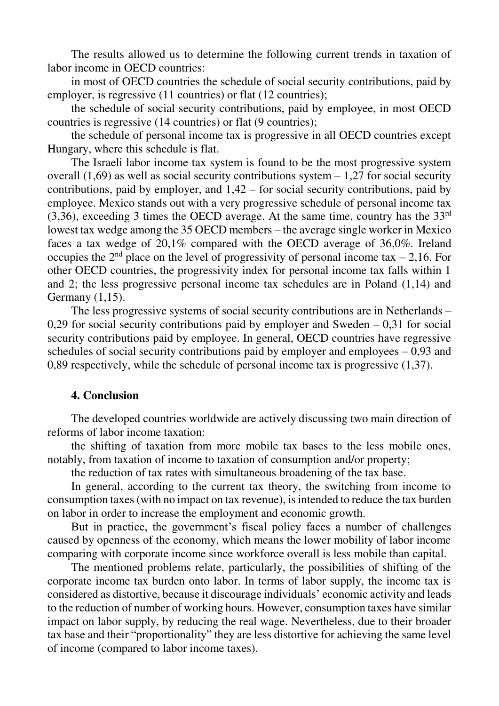The results allowed us to determine the following current trends in taxation of labor income in OECD countries:

in most of OECD countries the schedule of social security contributions, paid by employer, is regressive (11 countries) or flat (12 countries);

the schedule of social security contributions, paid by employee, in most OECD countries is regressive (14 countries) or flat (9 countries);

the schedule of personal income tax is progressive in all OECD countries except Hungary, where this schedule is flat.

The Israeli labor income tax system is found to be the most progressive system overall  $(1,69)$  as well as social security contributions system  $-1,27$  for social security contributions, paid by employer, and 1,42 – for social security contributions, paid by employee. Mexico stands out with a very progressive schedule of personal income tax  $(3,36)$ , exceeding 3 times the OECD average. At the same time, country has the  $33<sup>rd</sup>$ lowest tax wedge among the 35 OECD members – the average single worker in Mexico faces a tax wedge of 20,1% compared with the OECD average of 36,0%. Ireland occupies the  $2<sup>nd</sup>$  place on the level of progressivity of personal income tax – 2,16. For other OECD countries, the progressivity index for personal income tax falls within 1 and 2; the less progressive personal income tax schedules are in Poland (1,14) and Germany (1,15).

The less progressive systems of social security contributions are in Netherlands – 0,29 for social security contributions paid by employer and Sweden  $-0.31$  for social security contributions paid by employee. In general, OECD countries have regressive schedules of social security contributions paid by employer and employees  $-0.93$  and 0,89 respectively, while the schedule of personal income tax is progressive (1,37).

#### **4. Conclusion**

The developed countries worldwide are actively discussing two main direction of reforms of labor income taxation:

the shifting of taxation from more mobile tax bases to the less mobile ones, notably, from taxation of income to taxation of consumption and/or property;

the reduction of tax rates with simultaneous broadening of the tax base.

In general, according to the current tax theory, the switching from income to consumption taxes (with no impact on tax revenue), is intended to reduce the tax burden on labor in order to increase the employment and economic growth.

But in practice, the government's fiscal policy faces a number of challenges caused by openness of the economy, which means the lower mobility of labor income comparing with corporate income since workforce overall is less mobile than capital.

The mentioned problems relate, particularly, the possibilities of shifting of the corporate income tax burden onto labor. In terms of labor supply, the income tax is considered as distortive, because it discourage individuals' economic activity and leads to the reduction of number of working hours. However, consumption taxes have similar impact on labor supply, by reducing the real wage. Nevertheless, due to their broader tax base and their "proportionality" they are less distortive for achieving the same level of income (compared to labor income taxes).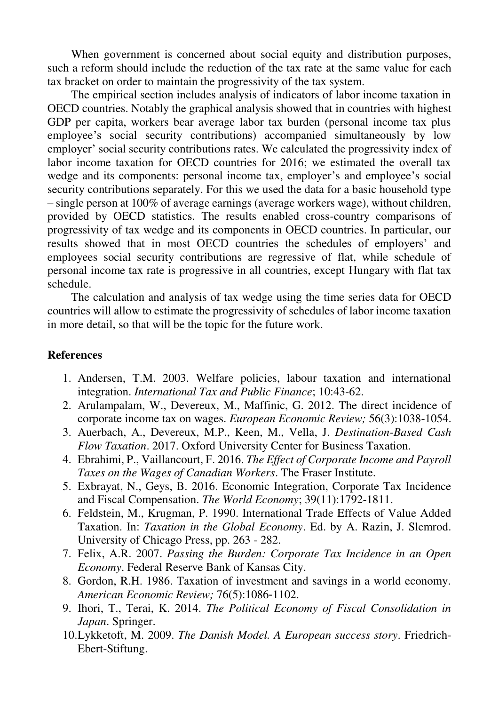When government is concerned about social equity and distribution purposes, such a reform should include the reduction of the tax rate at the same value for each tax bracket on order to maintain the progressivity of the tax system.

The empirical section includes analysis of indicators of labor income taxation in OECD countries. Notably the graphical analysis showed that in countries with highest GDP per capita, workers bear average labor tax burden (personal income tax plus employee's social security contributions) accompanied simultaneously by low employer' social security contributions rates. We calculated the progressivity index of labor income taxation for OECD countries for 2016; we estimated the overall tax wedge and its components: personal income tax, employer's and employee's social security contributions separately. For this we used the data for a basic household type – single person at 100% of average earnings (average workers wage), without children, provided by OECD statistics. The results enabled cross-country comparisons of progressivity of tax wedge and its components in OECD countries. In particular, our results showed that in most OECD countries the schedules of employers' and employees social security contributions are regressive of flat, while schedule of personal income tax rate is progressive in all countries, except Hungary with flat tax schedule.

The calculation and analysis of tax wedge using the time series data for OECD countries will allow to estimate the progressivity of schedules of labor income taxation in more detail, so that will be the topic for the future work.

### **References**

- 1. Andersen, T.M. 2003. Welfare policies, labour taxation and international integration. *International Tax and Public Finance*; 10:43-62.
- 2. Arulampalam, W., Devereux, M., Maffinic, G. 2012. The direct incidence of corporate income tax on wages. *European Economic Review;* 56(3):1038-1054.
- 3. Auerbach, A., Devereux, M.P., Keen, M., Vella, J. *Destination-Based Cash Flow Taxation*. 2017. Oxford University Center for Business Taxation.
- 4. Ebrahimi, P., Vaillancourt, F. 2016. *The Effect of Corporate Income and Payroll Taxes on the Wages of Canadian Workers*. The Fraser Institute.
- 5. Exbrayat, N., Geys, B. 2016. Economic Integration, Corporate Tax Incidence and Fiscal Compensation. *The World Economy*; 39(11):1792-1811.
- 6. Feldstein, M., Krugman, P. 1990. International Trade Effects of Value Added Taxation. In: *Taxation in the Global Economy*. Ed. by A. Razin, J. Slemrod. University of Chicago Press, pp. 263 - 282.
- 7. Felix, A.R. 2007. *Passing the Burden: Corporate Tax Incidence in an Open Economy*. Federal Reserve Bank of Kansas City.
- 8. Gordon, R.H. 1986. Taxation of investment and savings in a world economy. *American Economic Review;* 76(5):1086‐1102.
- 9. Ihori, T., Terai, K. 2014. *The Political Economy of Fiscal Consolidation in Japan*. Springer.
- 10.Lykketoft, M. 2009. *The Danish Model. A European success story*. Friedrich-Ebert-Stiftung.